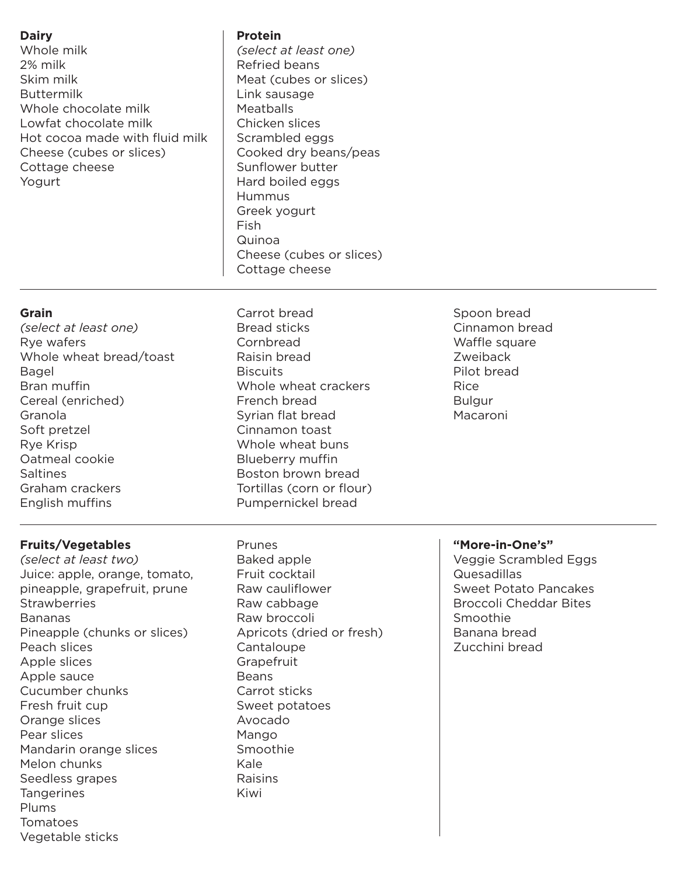## **Dairy**

Whole milk 2% milk Skim milk Buttermilk Whole chocolate milk Lowfat chocolate milk Hot cocoa made with fluid milk Cheese (cubes or slices) Cottage cheese Yogurt

#### **Protein**

*(select at least one)* Refried beans Meat (cubes or slices) Link sausage **Meatballs** Chicken slices Scrambled eggs Cooked dry beans/peas Sunflower butter Hard boiled eggs Hummus Greek yogurt Fish Quinoa Cheese (cubes or slices) Cottage cheese

### **Grain**

- *(select at least one)* Rye wafers Whole wheat bread/toast Bagel Bran muffin Cereal (enriched) Granola Soft pretzel Rye Krisp Oatmeal cookie Saltines Graham crackers English muffins
- Carrot bread Bread sticks **Cornbread** Raisin bread **Biscuits** Whole wheat crackers French bread Syrian flat bread Cinnamon toast Whole wheat buns Blueberry muffin Boston brown bread Tortillas (corn or flour) Pumpernickel bread
- Spoon bread Cinnamon bread Waffle square Zweiback Pilot bread Rice Bulgur Macaroni

## **Fruits/Vegetables**

*(select at least two)* Juice: apple, orange, tomato, pineapple, grapefruit, prune **Strawberries** Bananas Pineapple (chunks or slices) Peach slices Apple slices Apple sauce Cucumber chunks Fresh fruit cup Orange slices Pear slices Mandarin orange slices Melon chunks Seedless grapes **Tangerines** Plums Tomatoes Vegetable sticks

Prunes Baked apple Fruit cocktail Raw cauliflower Raw cabbage Raw broccoli Apricots (dried or fresh) **Cantaloupe Grapefruit** Beans Carrot sticks Sweet potatoes Avocado Mango Smoothie Kale Raisins Kiwi

#### **"More-in-One's"**

Veggie Scrambled Eggs Quesadillas Sweet Potato Pancakes Broccoli Cheddar Bites Smoothie Banana bread Zucchini bread